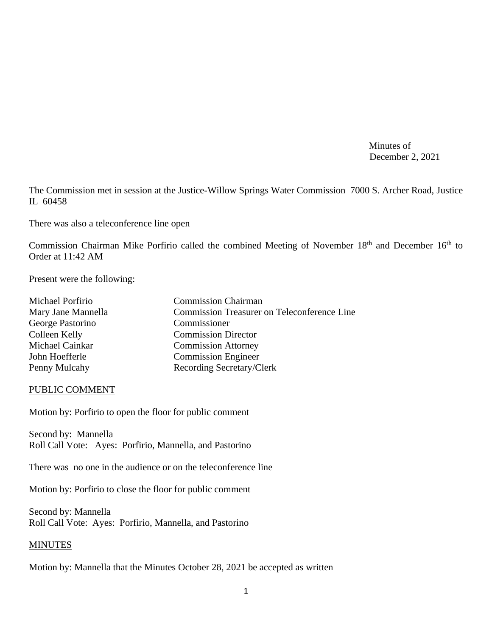Minutes of December 2, 2021

The Commission met in session at the Justice-Willow Springs Water Commission 7000 S. Archer Road, Justice IL 60458

There was also a teleconference line open

Commission Chairman Mike Porfirio called the combined Meeting of November 18<sup>th</sup> and December 16<sup>th</sup> to Order at 11:42 AM

Present were the following:

| Michael Porfirio   | <b>Commission Chairman</b>                         |
|--------------------|----------------------------------------------------|
| Mary Jane Mannella | <b>Commission Treasurer on Teleconference Line</b> |
| George Pastorino   | Commissioner                                       |
| Colleen Kelly      | <b>Commission Director</b>                         |
| Michael Cainkar    | <b>Commission Attorney</b>                         |
| John Hoefferle     | <b>Commission Engineer</b>                         |
| Penny Mulcahy      | Recording Secretary/Clerk                          |

#### PUBLIC COMMENT

Motion by: Porfirio to open the floor for public comment

Second by: Mannella Roll Call Vote: Ayes: Porfirio, Mannella, and Pastorino

There was no one in the audience or on the teleconference line

Motion by: Porfirio to close the floor for public comment

Second by: Mannella Roll Call Vote: Ayes: Porfirio, Mannella, and Pastorino

#### MINUTES

Motion by: Mannella that the Minutes October 28, 2021 be accepted as written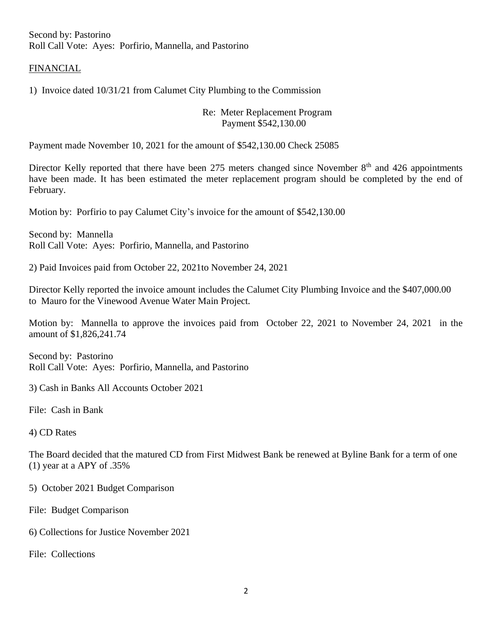Second by: Pastorino Roll Call Vote: Ayes: Porfirio, Mannella, and Pastorino

### FINANCIAL

1) Invoice dated 10/31/21 from Calumet City Plumbing to the Commission

### Re: Meter Replacement Program Payment \$542,130.00

Payment made November 10, 2021 for the amount of \$542,130.00 Check 25085

Director Kelly reported that there have been 275 meters changed since November 8<sup>th</sup> and 426 appointments have been made. It has been estimated the meter replacement program should be completed by the end of February.

Motion by: Porfirio to pay Calumet City's invoice for the amount of \$542,130.00

Second by: Mannella Roll Call Vote: Ayes: Porfirio, Mannella, and Pastorino

2) Paid Invoices paid from October 22, 2021to November 24, 2021

Director Kelly reported the invoice amount includes the Calumet City Plumbing Invoice and the \$407,000.00 to Mauro for the Vinewood Avenue Water Main Project.

Motion by: Mannella to approve the invoices paid from October 22, 2021 to November 24, 2021 in the amount of \$1,826,241.74

Second by: Pastorino Roll Call Vote: Ayes: Porfirio, Mannella, and Pastorino

3) Cash in Banks All Accounts October 2021

File: Cash in Bank

4) CD Rates

The Board decided that the matured CD from First Midwest Bank be renewed at Byline Bank for a term of one (1) year at a APY of .35%

5) October 2021 Budget Comparison

File: Budget Comparison

6) Collections for Justice November 2021

File: Collections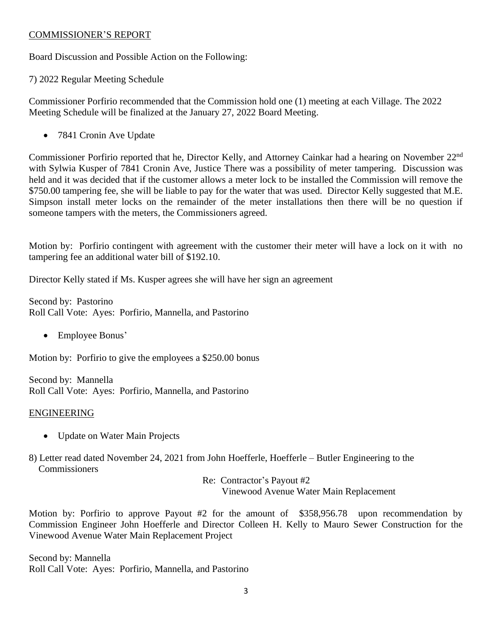### COMMISSIONER'S REPORT

Board Discussion and Possible Action on the Following:

7) 2022 Regular Meeting Schedule

Commissioner Porfirio recommended that the Commission hold one (1) meeting at each Village. The 2022 Meeting Schedule will be finalized at the January 27, 2022 Board Meeting.

• 7841 Cronin Ave Update

Commissioner Porfirio reported that he, Director Kelly, and Attorney Cainkar had a hearing on November 22nd with Sylwia Kusper of 7841 Cronin Ave, Justice There was a possibility of meter tampering. Discussion was held and it was decided that if the customer allows a meter lock to be installed the Commission will remove the \$750.00 tampering fee, she will be liable to pay for the water that was used. Director Kelly suggested that M.E. Simpson install meter locks on the remainder of the meter installations then there will be no question if someone tampers with the meters, the Commissioners agreed.

Motion by: Porfirio contingent with agreement with the customer their meter will have a lock on it with no tampering fee an additional water bill of \$192.10.

Director Kelly stated if Ms. Kusper agrees she will have her sign an agreement

Second by: Pastorino Roll Call Vote: Ayes: Porfirio, Mannella, and Pastorino

• Employee Bonus'

Motion by: Porfirio to give the employees a \$250.00 bonus

Second by: Mannella Roll Call Vote: Ayes: Porfirio, Mannella, and Pastorino

### ENGINEERING

- Update on Water Main Projects
- 8) Letter read dated November 24, 2021 from John Hoefferle, Hoefferle Butler Engineering to the **Commissioners**

Re: Contractor's Payout #2 Vinewood Avenue Water Main Replacement

Motion by: Porfirio to approve Payout #2 for the amount of \$358,956.78 upon recommendation by Commission Engineer John Hoefferle and Director Colleen H. Kelly to Mauro Sewer Construction for the Vinewood Avenue Water Main Replacement Project

Second by: Mannella Roll Call Vote: Ayes: Porfirio, Mannella, and Pastorino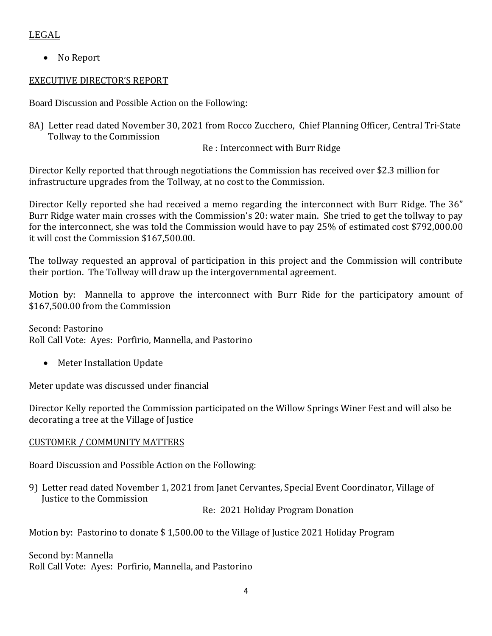# LEGAL

• No Report

# EXECUTIVE DIRECTOR'S REPORT

Board Discussion and Possible Action on the Following:

8A) Letter read dated November 30, 2021 from Rocco Zucchero, Chief Planning Officer, Central Tri-State Tollway to the Commission

Re : Interconnect with Burr Ridge

Director Kelly reported that through negotiations the Commission has received over \$2.3 million for infrastructure upgrades from the Tollway, at no cost to the Commission.

Director Kelly reported she had received a memo regarding the interconnect with Burr Ridge. The 36" Burr Ridge water main crosses with the Commission's 20: water main. She tried to get the tollway to pay for the interconnect, she was told the Commission would have to pay 25% of estimated cost \$792,000.00 it will cost the Commission \$167,500.00.

The tollway requested an approval of participation in this project and the Commission will contribute their portion. The Tollway will draw up the intergovernmental agreement.

Motion by: Mannella to approve the interconnect with Burr Ride for the participatory amount of \$167,500.00 from the Commission

Second: Pastorino Roll Call Vote: Ayes: Porfirio, Mannella, and Pastorino

• Meter Installation Update

Meter update was discussed under financial

Director Kelly reported the Commission participated on the Willow Springs Winer Fest and will also be decorating a tree at the Village of Justice

## CUSTOMER / COMMUNITY MATTERS

Board Discussion and Possible Action on the Following:

9) Letter read dated November 1, 2021 from Janet Cervantes, Special Event Coordinator, Village of Justice to the Commission

Re: 2021 Holiday Program Donation

Motion by: Pastorino to donate \$ 1,500.00 to the Village of Justice 2021 Holiday Program

Second by: Mannella Roll Call Vote: Ayes: Porfirio, Mannella, and Pastorino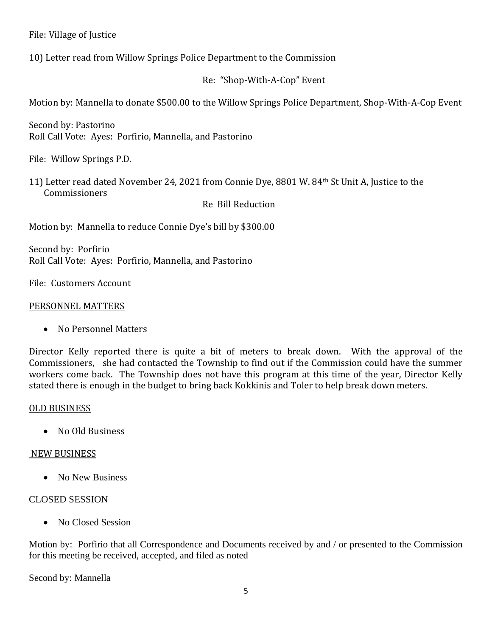File: Village of Justice

10) Letter read from Willow Springs Police Department to the Commission

Re: "Shop-With-A-Cop" Event

Motion by: Mannella to donate \$500.00 to the Willow Springs Police Department, Shop-With-A-Cop Event

Second by: Pastorino Roll Call Vote: Ayes: Porfirio, Mannella, and Pastorino

File: Willow Springs P.D.

11) Letter read dated November 24, 2021 from Connie Dye, 8801 W. 84th St Unit A, Justice to the Commissioners

Re Bill Reduction

Motion by: Mannella to reduce Connie Dye's bill by \$300.00

Second by: Porfirio Roll Call Vote: Ayes: Porfirio, Mannella, and Pastorino

File: Customers Account

### PERSONNEL MATTERS

• No Personnel Matters

Director Kelly reported there is quite a bit of meters to break down. With the approval of the Commissioners, she had contacted the Township to find out if the Commission could have the summer workers come back. The Township does not have this program at this time of the year, Director Kelly stated there is enough in the budget to bring back Kokkinis and Toler to help break down meters.

### OLD BUSINESS

• No Old Business

## NEW BUSINESS

• No New Business

## CLOSED SESSION

• No Closed Session

Motion by: Porfirio that all Correspondence and Documents received by and / or presented to the Commission for this meeting be received, accepted, and filed as noted

Second by: Mannella